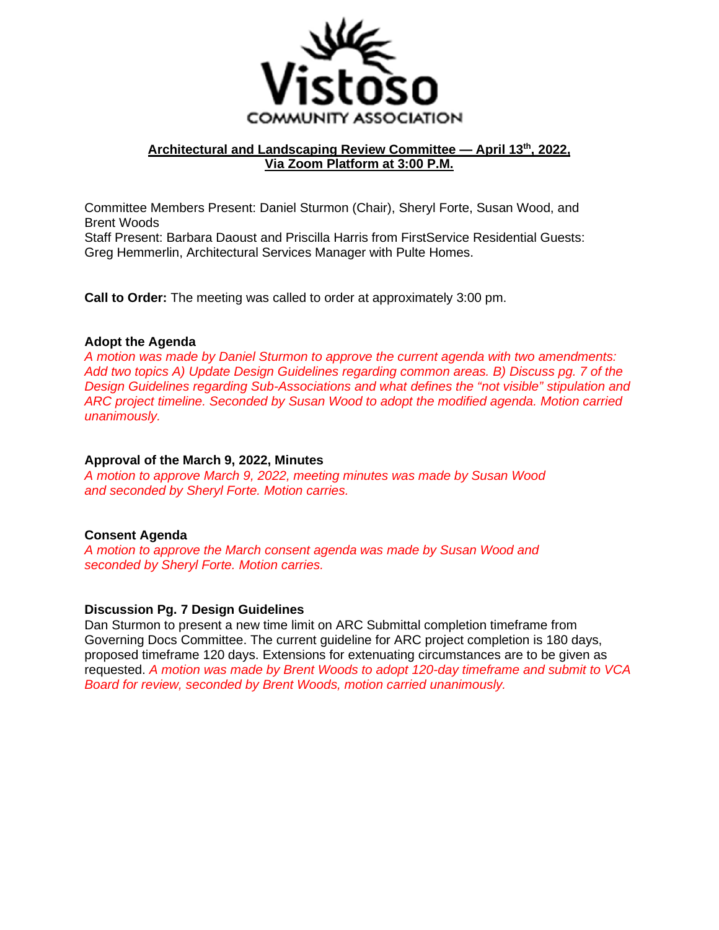

# **Architectural and Landscaping Review Committee — April 13th, 2022, Via Zoom Platform at 3:00 P.M.**

Committee Members Present: Daniel Sturmon (Chair), Sheryl Forte, Susan Wood, and Brent Woods Staff Present: Barbara Daoust and Priscilla Harris from FirstService Residential Guests: Greg Hemmerlin, Architectural Services Manager with Pulte Homes.

**Call to Order:** The meeting was called to order at approximately 3:00 pm.

#### **Adopt the Agenda**

*A motion was made by Daniel Sturmon to approve the current agenda with two amendments: Add two topics A) Update Design Guidelines regarding common areas. B) Discuss pg. 7 of the Design Guidelines regarding Sub-Associations and what defines the "not visible" stipulation and ARC project timeline. Seconded by Susan Wood to adopt the modified agenda. Motion carried unanimously.* 

#### **Approval of the March 9, 2022, Minutes**

*A motion to approve March 9, 2022, meeting minutes was made by Susan Wood and seconded by Sheryl Forte. Motion carries.* 

# **Consent Agenda**

*A motion to approve the March consent agenda was made by Susan Wood and seconded by Sheryl Forte. Motion carries.* 

#### **Discussion Pg. 7 Design Guidelines**

Dan Sturmon to present a new time limit on ARC Submittal completion timeframe from Governing Docs Committee. The current guideline for ARC project completion is 180 days, proposed timeframe 120 days. Extensions for extenuating circumstances are to be given as requested. *A motion was made by Brent Woods to adopt 120-day timeframe and submit to VCA Board for review, seconded by Brent Woods, motion carried unanimously.*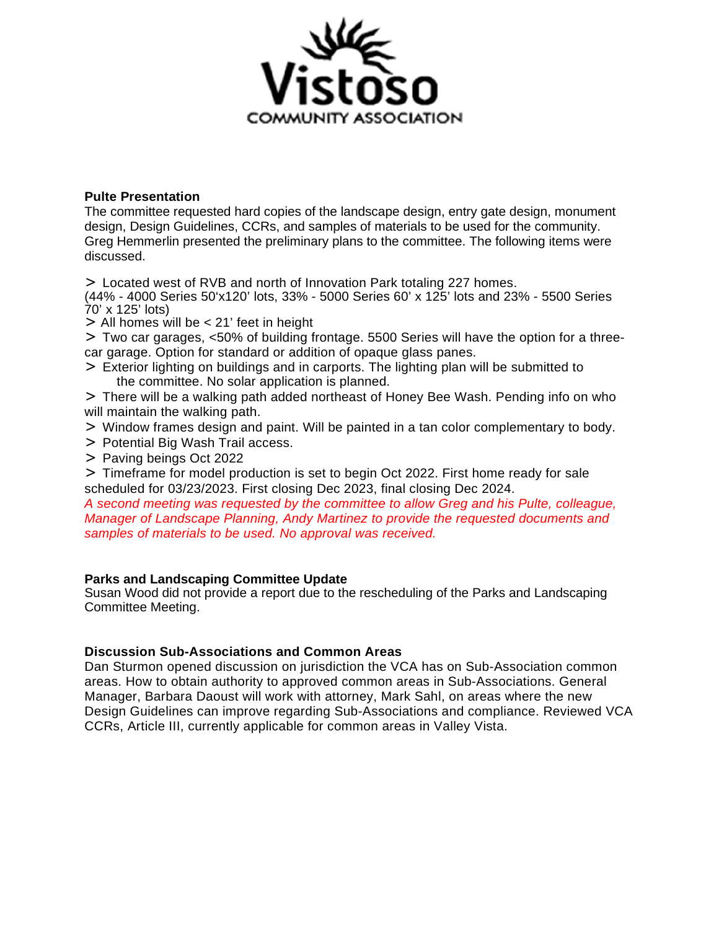

### **Pulte Presentation**

The committee requested hard copies of the landscape design, entry gate design, monument design, Design Guidelines, CCRs, and samples of materials to be used for the community. Greg Hemmerlin presented the preliminary plans to the committee. The following items were discussed.

> Located west of RVB and north of Innovation Park totaling 227 homes.

(44% - 4000 Series 50'x120' lots, 33% - 5000 Series 60' x 125' lots and 23% - 5500 Series 70' x 125' lots)

> All homes will be < 21' feet in height

> Two car garages, <50% of building frontage. 5500 Series will have the option for a threecar garage. Option for standard or addition of opaque glass panes.

> Exterior lighting on buildings and in carports. The lighting plan will be submitted to the committee. No solar application is planned.

> There will be a walking path added northeast of Honey Bee Wash. Pending info on who will maintain the walking path.

- > Window frames design and paint. Will be painted in a tan color complementary to body.
- > Potential Big Wash Trail access.
- > Paving beings Oct 2022

> Timeframe for model production is set to begin Oct 2022. First home ready for sale scheduled for 03/23/2023. First closing Dec 2023, final closing Dec 2024.

*A second meeting was requested by the committee to allow Greg and his Pulte, colleague, Manager of Landscape Planning, Andy Martinez to provide the requested documents and samples of materials to be used. No approval was received.* 

#### **Parks and Landscaping Committee Update**

Susan Wood did not provide a report due to the rescheduling of the Parks and Landscaping Committee Meeting.

# **Discussion Sub-Associations and Common Areas**

Dan Sturmon opened discussion on jurisdiction the VCA has on Sub-Association common areas. How to obtain authority to approved common areas in Sub-Associations. General Manager, Barbara Daoust will work with attorney, Mark Sahl, on areas where the new Design Guidelines can improve regarding Sub-Associations and compliance. Reviewed VCA CCRs, Article III, currently applicable for common areas in Valley Vista.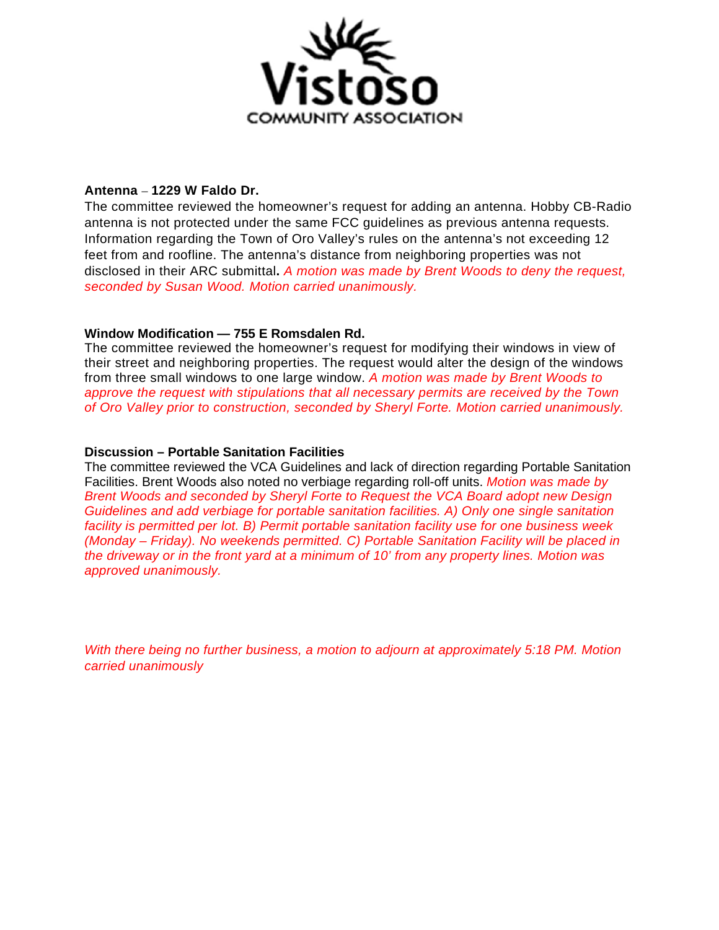

# **Antenna** – **1229 W Faldo Dr.**

The committee reviewed the homeowner's request for adding an antenna. Hobby CB-Radio antenna is not protected under the same FCC guidelines as previous antenna requests. Information regarding the Town of Oro Valley's rules on the antenna's not exceeding 12 feet from and roofline. The antenna's distance from neighboring properties was not disclosed in their ARC submittal**.** *A motion was made by Brent Woods to deny the request, seconded by Susan Wood. Motion carried unanimously.*

# **Window Modification — 755 E Romsdalen Rd.**

The committee reviewed the homeowner's request for modifying their windows in view of their street and neighboring properties. The request would alter the design of the windows from three small windows to one large window. *A motion was made by Brent Woods to approve the request with stipulations that all necessary permits are received by the Town of Oro Valley prior to construction, seconded by Sheryl Forte. Motion carried unanimously.*

# **Discussion – Portable Sanitation Facilities**

The committee reviewed the VCA Guidelines and lack of direction regarding Portable Sanitation Facilities. Brent Woods also noted no verbiage regarding roll-off units. *Motion was made by Brent Woods and seconded by Sheryl Forte to Request the VCA Board adopt new Design Guidelines and add verbiage for portable sanitation facilities. A) Only one single sanitation facility is permitted per lot. B) Permit portable sanitation facility use for one business week (Monday – Friday). No weekends permitted. C) Portable Sanitation Facility will be placed in the driveway or in the front yard at a minimum of 10' from any property lines. Motion was approved unanimously.* 

*With there being no further business, a motion to adjourn at approximately 5:18 PM. Motion carried unanimously*